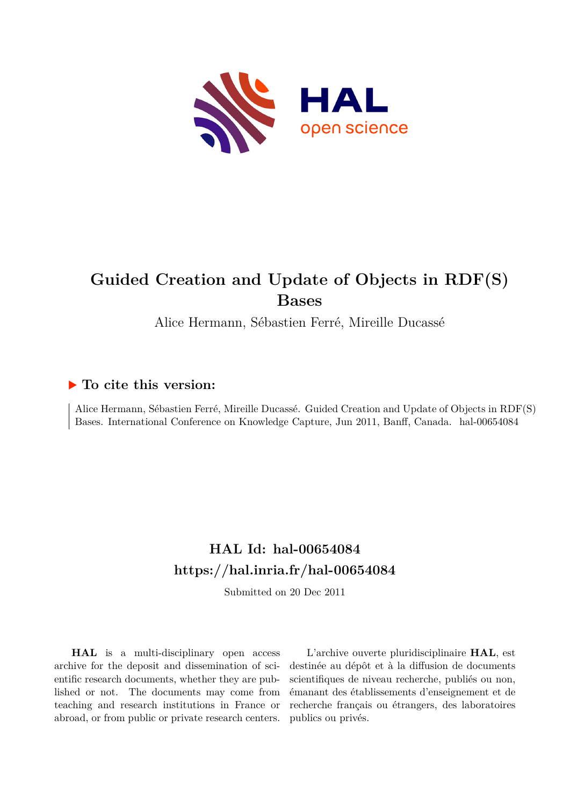

# **Guided Creation and Update of Objects in RDF(S) Bases**

Alice Hermann, Sébastien Ferré, Mireille Ducassé

### **To cite this version:**

Alice Hermann, Sébastien Ferré, Mireille Ducassé. Guided Creation and Update of Objects in RDF(S) Bases. International Conference on Knowledge Capture, Jun 2011, Banff, Canada. hal-00654084

## **HAL Id: hal-00654084 <https://hal.inria.fr/hal-00654084>**

Submitted on 20 Dec 2011

**HAL** is a multi-disciplinary open access archive for the deposit and dissemination of scientific research documents, whether they are published or not. The documents may come from teaching and research institutions in France or abroad, or from public or private research centers.

L'archive ouverte pluridisciplinaire **HAL**, est destinée au dépôt et à la diffusion de documents scientifiques de niveau recherche, publiés ou non, émanant des établissements d'enseignement et de recherche français ou étrangers, des laboratoires publics ou privés.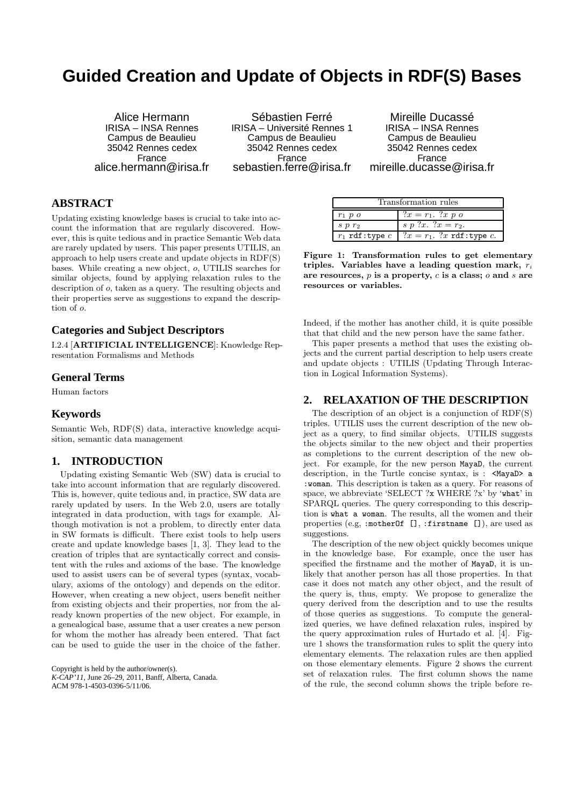### **Guided Creation and Update of Objects in RDF(S) Bases**

Alice Hermann IRISA – INSA Rennes Campus de Beaulieu 35042 Rennes cedex France alice.hermann@irisa.fr

Sébastien Ferré IRISA – Université Rennes 1 Campus de Beaulieu 35042 Rennes cedex France sebastien.ferre@irisa.fr

Mireille Ducassé IRISA – INSA Rennes Campus de Beaulieu 35042 Rennes cedex France mireille.ducasse@irisa.fr

### **ABSTRACT**

Updating existing knowledge bases is crucial to take into account the information that are regularly discovered. However, this is quite tedious and in practice Semantic Web data are rarely updated by users. This paper presents UTILIS, an approach to help users create and update objects in RDF(S) bases. While creating a new object, o, UTILIS searches for similar objects, found by applying relaxation rules to the description of o, taken as a query. The resulting objects and their properties serve as suggestions to expand the description of o.

#### **Categories and Subject Descriptors**

I.2.4 [ARTIFICIAL INTELLIGENCE]: Knowledge Representation Formalisms and Methods

#### **General Terms**

Human factors

#### **Keywords**

Semantic Web, RDF(S) data, interactive knowledge acquisition, semantic data management

#### **1. INTRODUCTION**

Updating existing Semantic Web (SW) data is crucial to take into account information that are regularly discovered. This is, however, quite tedious and, in practice, SW data are rarely updated by users. In the Web 2.0, users are totally integrated in data production, with tags for example. Although motivation is not a problem, to directly enter data in SW formats is difficult. There exist tools to help users create and update knowledge bases [1, 3]. They lead to the creation of triples that are syntactically correct and consistent with the rules and axioms of the base. The knowledge used to assist users can be of several types (syntax, vocabulary, axioms of the ontology) and depends on the editor. However, when creating a new object, users benefit neither from existing objects and their properties, nor from the already known properties of the new object. For example, in a genealogical base, assume that a user creates a new person for whom the mother has already been entered. That fact can be used to guide the user in the choice of the father.

Copyright is held by the author/owner(s). *K-CAP'11,* June 26–29, 2011, Banff, Alberta, Canada. ACM 978-1-4503-0396-5/11/06.

| Transformation rules |                                                      |  |  |
|----------------------|------------------------------------------------------|--|--|
| $r_1$ p $o$          | $?x = r_1$ . ?x p o                                  |  |  |
| $s$ $p$ $r_2$        | s p ?x. ? $x = r_2$ .                                |  |  |
|                      | $r_1$ rdf:type $c \mid ?x = r_1$ . ?x rdf:type $c$ . |  |  |

Figure 1: Transformation rules to get elementary triples. Variables have a leading question mark,  $r_i$ are resources,  $p$  is a property,  $c$  is a class;  $o$  and  $s$  are resources or variables.

Indeed, if the mother has another child, it is quite possible that that child and the new person have the same father.

This paper presents a method that uses the existing objects and the current partial description to help users create and update objects : UTILIS (Updating Through Interaction in Logical Information Systems).

#### **2. RELAXATION OF THE DESCRIPTION**

The description of an object is a conjunction of RDF(S) triples. UTILIS uses the current description of the new object as a query, to find similar objects. UTILIS suggests the objects similar to the new object and their properties as completions to the current description of the new object. For example, for the new person MayaD, the current description, in the Turtle concise syntax, is : <MayaD> a :woman. This description is taken as a query. For reasons of space, we abbreviate 'SELECT ?x WHERE ?x' by 'what' in SPARQL queries. The query corresponding to this description is what a woman. The results, all the women and their properties (e.g, :motherOf [], :firstname []), are used as suggestions.

The description of the new object quickly becomes unique in the knowledge base. For example, once the user has specified the firstname and the mother of MayaD, it is unlikely that another person has all those properties. In that case it does not match any other object, and the result of the query is, thus, empty. We propose to generalize the query derived from the description and to use the results of those queries as suggestions. To compute the generalized queries, we have defined relaxation rules, inspired by the query approximation rules of Hurtado et al. [4]. Figure 1 shows the transformation rules to split the query into elementary elements. The relaxation rules are then applied on those elementary elements. Figure 2 shows the current set of relaxation rules. The first column shows the name of the rule, the second column shows the triple before re-